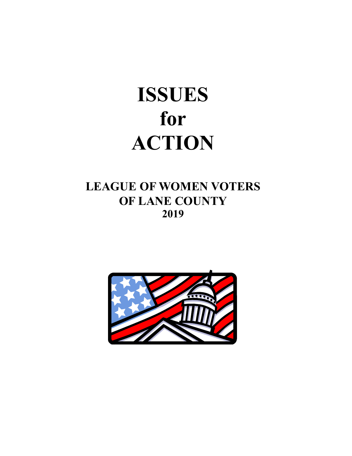# **ISSUES for ACTION**

# **LEAGUE OF WOMEN VOTERS OF LANE COUNTY 2019**

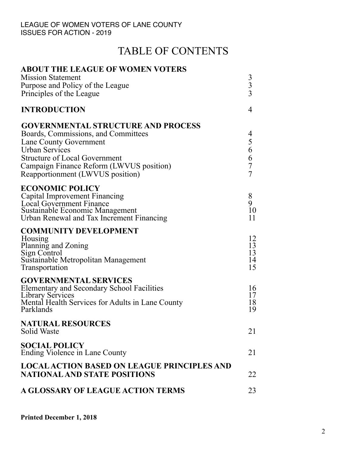# TABLE OF CONTENTS

| <b>ABOUT THE LEAGUE OF WOMEN VOTERS</b>                                                                                                                                                                                                                     |                                                        |
|-------------------------------------------------------------------------------------------------------------------------------------------------------------------------------------------------------------------------------------------------------------|--------------------------------------------------------|
| <b>Mission Statement</b><br>Purpose and Policy of the League<br>Principles of the League                                                                                                                                                                    | $\frac{3}{3}$                                          |
| <b>INTRODUCTION</b>                                                                                                                                                                                                                                         | $\overline{4}$                                         |
| <b>GOVERNMENTAL STRUCTURE AND PROCESS</b><br>Boards, Commissions, and Committees<br>Lane County Government<br><b>Urban Services</b><br><b>Structure of Local Government</b><br>Campaign Finance Reform (LWVUS position)<br>Reapportionment (LWVUS position) | 4<br>5<br>6<br>6<br>$\boldsymbol{7}$<br>$\overline{7}$ |
| <b>ECONOMIC POLICY</b><br>Capital Improvement Financing<br><b>Local Government Finance</b><br>Sustainable Economic Management<br>Urban Renewal and Tax Increment Financing                                                                                  | 8<br>9<br>10<br>11                                     |
| <b>COMMUNITY DEVELOPMENT</b><br>Housing<br>Planning and Zoning<br>Sign Control<br>Sustainable Metropolitan Management<br><b>Transportation</b>                                                                                                              | 12<br>13<br>13<br>14<br>15                             |
| <b>GOVERNMENTAL SERVICES</b><br><b>Elementary and Secondary School Facilities</b><br>Library Services<br>Mental Health Services for Adults in Lane County<br>Parklands                                                                                      | 16<br>17<br>18<br>19                                   |
| <b>NATURAL RESOURCES</b><br><b>Solid Waste</b>                                                                                                                                                                                                              | 21                                                     |
| <b>SOCIAL POLICY</b><br>Ending Violence in Lane County                                                                                                                                                                                                      | 21                                                     |
| <b>LOCAL ACTION BASED ON LEAGUE PRINCIPLES AND</b><br><b>NATIONAL AND STATE POSITIONS</b>                                                                                                                                                                   | 22                                                     |
| A GLOSSARY OF LEAGUE ACTION TERMS                                                                                                                                                                                                                           | 23                                                     |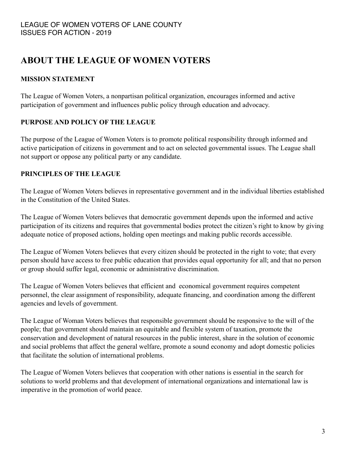# **ABOUT THE LEAGUE OF WOMEN VOTERS**

## **MISSION STATEMENT**

The League of Women Voters, a nonpartisan political organization, encourages informed and active participation of government and influences public policy through education and advocacy.

## **PURPOSE AND POLICY OF THE LEAGUE**

The purpose of the League of Women Voters is to promote political responsibility through informed and active participation of citizens in government and to act on selected governmental issues. The League shall not support or oppose any political party or any candidate.

## **PRINCIPLES OF THE LEAGUE**

The League of Women Voters believes in representative government and in the individual liberties established in the Constitution of the United States.

The League of Women Voters believes that democratic government depends upon the informed and active participation of its citizens and requires that governmental bodies protect the citizen's right to know by giving adequate notice of proposed actions, holding open meetings and making public records accessible.

The League of Women Voters believes that every citizen should be protected in the right to vote; that every person should have access to free public education that provides equal opportunity for all; and that no person or group should suffer legal, economic or administrative discrimination.

The League of Women Voters believes that efficient and economical government requires competent personnel, the clear assignment of responsibility, adequate financing, and coordination among the different agencies and levels of government.

The League of Woman Voters believes that responsible government should be responsive to the will of the people; that government should maintain an equitable and flexible system of taxation, promote the conservation and development of natural resources in the public interest, share in the solution of economic and social problems that affect the general welfare, promote a sound economy and adopt domestic policies that facilitate the solution of international problems.

The League of Women Voters believes that cooperation with other nations is essential in the search for solutions to world problems and that development of international organizations and international law is imperative in the promotion of world peace.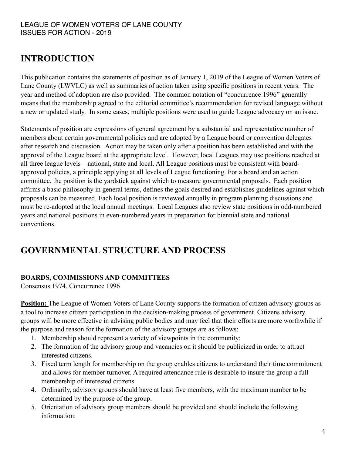# **INTRODUCTION**

This publication contains the statements of position as of January 1, 2019 of the League of Women Voters of Lane County (LWVLC) as well as summaries of action taken using specific positions in recent years. The year and method of adoption are also provided. The common notation of "concurrence 1996" generally means that the membership agreed to the editorial committee's recommendation for revised language without a new or updated study. In some cases, multiple positions were used to guide League advocacy on an issue.

Statements of position are expressions of general agreement by a substantial and representative number of members about certain governmental policies and are adopted by a League board or convention delegates after research and discussion. Action may be taken only after a position has been established and with the approval of the League board at the appropriate level. However, local Leagues may use positions reached at all three league levels – national, state and local. All League positions must be consistent with boardapproved policies, a principle applying at all levels of League functioning. For a board and an action committee, the position is the yardstick against which to measure governmental proposals. Each position affirms a basic philosophy in general terms, defines the goals desired and establishes guidelines against which proposals can be measured. Each local position is reviewed annually in program planning discussions and must be re-adopted at the local annual meetings. Local Leagues also review state positions in odd-numbered years and national positions in even-numbered years in preparation for biennial state and national conventions.

# **GOVERNMENTAL STRUCTURE AND PROCESS**

## **BOARDS, COMMISSIONS AND COMMITTEES**

Consensus 1974, Concurrence 1996

**Position:** The League of Women Voters of Lane County supports the formation of citizen advisory groups as a tool to increase citizen participation in the decision-making process of government. Citizens advisory groups will be more effective in advising public bodies and may feel that their efforts are more worthwhile if the purpose and reason for the formation of the advisory groups are as follows:

- 1. Membership should represent a variety of viewpoints in the community;
- 2. The formation of the advisory group and vacancies on it should be publicized in order to attract interested citizens.
- 3. Fixed term length for membership on the group enables citizens to understand their time commitment and allows for member turnover. A required attendance rule is desirable to insure the group a full membership of interested citizens.
- 4. Ordinarily, advisory groups should have at least five members, with the maximum number to be determined by the purpose of the group.
- 5. Orientation of advisory group members should be provided and should include the following information: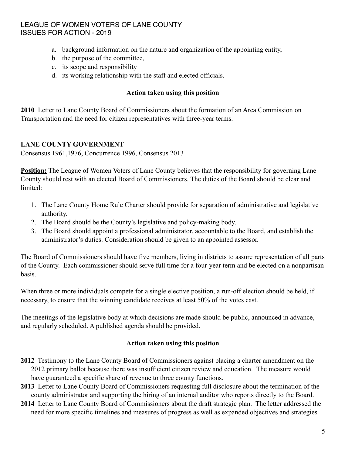- a. background information on the nature and organization of the appointing entity,
- b. the purpose of the committee,
- c. its scope and responsibility
- d. its working relationship with the staff and elected officials.

#### **Action taken using this position**

**2010** Letter to Lane County Board of Commissioners about the formation of an Area Commission on Transportation and the need for citizen representatives with three-year terms.

#### **LANE COUNTY GOVERNMENT**

Consensus 1961,1976, Concurrence 1996, Consensus 2013

**Position:** The League of Women Voters of Lane County believes that the responsibility for governing Lane County should rest with an elected Board of Commissioners. The duties of the Board should be clear and limited:

- 1. The Lane County Home Rule Charter should provide for separation of administrative and legislative authority.
- 2. The Board should be the County's legislative and policy-making body.
- 3. The Board should appoint a professional administrator, accountable to the Board, and establish the administrator's duties. Consideration should be given to an appointed assessor.

The Board of Commissioners should have five members, living in districts to assure representation of all parts of the County. Each commissioner should serve full time for a four-year term and be elected on a nonpartisan basis.

When three or more individuals compete for a single elective position, a run-off election should be held, if necessary, to ensure that the winning candidate receives at least 50% of the votes cast.

The meetings of the legislative body at which decisions are made should be public, announced in advance, and regularly scheduled. A published agenda should be provided.

#### **Action taken using this position**

- **2012** Testimony to the Lane County Board of Commissioners against placing a charter amendment on the 2012 primary ballot because there was insufficient citizen review and education. The measure would have guaranteed a specific share of revenue to three county functions.
- **2013** Letter to Lane County Board of Commissioners requesting full disclosure about the termination of the county administrator and supporting the hiring of an internal auditor who reports directly to the Board.
- **2014** Letter to Lane County Board of Commissioners about the draft strategic plan. The letter addressed the need for more specific timelines and measures of progress as well as expanded objectives and strategies.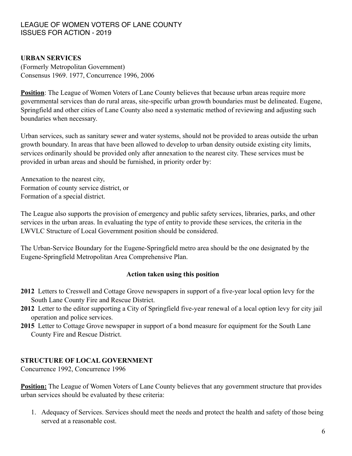#### **URBAN SERVICES**

(Formerly Metropolitan Government) Consensus 1969. 1977, Concurrence 1996, 2006

**Position**: The League of Women Voters of Lane County believes that because urban areas require more governmental services than do rural areas, site-specific urban growth boundaries must be delineated. Eugene, Springfield and other cities of Lane County also need a systematic method of reviewing and adjusting such boundaries when necessary.

Urban services, such as sanitary sewer and water systems, should not be provided to areas outside the urban growth boundary. In areas that have been allowed to develop to urban density outside existing city limits, services ordinarily should be provided only after annexation to the nearest city. These services must be provided in urban areas and should be furnished, in priority order by:

Annexation to the nearest city, Formation of county service district, or Formation of a special district.

The League also supports the provision of emergency and public safety services, libraries, parks, and other services in the urban areas. In evaluating the type of entity to provide these services, the criteria in the LWVLC Structure of Local Government position should be considered.

The Urban-Service Boundary for the Eugene-Springfield metro area should be the one designated by the Eugene-Springfield Metropolitan Area Comprehensive Plan.

#### **Action taken using this position**

- **2012** Letters to Creswell and Cottage Grove newspapers in support of a five-year local option levy for the South Lane County Fire and Rescue District.
- **2012** Letter to the editor supporting a City of Springfield five-year renewal of a local option levy for city jail operation and police services.
- **2015** Letter to Cottage Grove newspaper in support of a bond measure for equipment for the South Lane County Fire and Rescue District.

#### **STRUCTURE OF LOCAL GOVERNMENT**

Concurrence 1992, Concurrence 1996

**Position:** The League of Women Voters of Lane County believes that any government structure that provides urban services should be evaluated by these criteria:

1. Adequacy of Services. Services should meet the needs and protect the health and safety of those being served at a reasonable cost.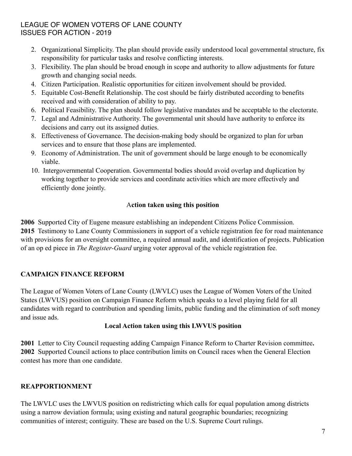- 2. Organizational Simplicity. The plan should provide easily understood local governmental structure, fix responsibility for particular tasks and resolve conflicting interests.
- 3. Flexibility. The plan should be broad enough in scope and authority to allow adjustments for future growth and changing social needs.
- 4. Citizen Participation. Realistic opportunities for citizen involvement should be provided.
- 5. Equitable Cost-Benefit Relationship. The cost should be fairly distributed according to benefits received and with consideration of ability to pay.
- 6. Political Feasibility. The plan should follow legislative mandates and be acceptable to the electorate.
- 7. Legal and Administrative Authority. The governmental unit should have authority to enforce its decisions and carry out its assigned duties.
- 8. Effectiveness of Governance. The decision-making body should be organized to plan for urban services and to ensure that those plans are implemented.
- 9. Economy of Administration. The unit of government should be large enough to be economically viable.
- 10. Intergovernmental Cooperation. Governmental bodies should avoid overlap and duplication by working together to provide services and coordinate activities which are more effectively and efficiently done jointly.

## A**ction taken using this position**

**2006** Supported City of Eugene measure establishing an independent Citizens Police Commission. **2015** Testimony to Lane County Commissioners in support of a vehicle registration fee for road maintenance with provisions for an oversight committee, a required annual audit, and identification of projects. Publication of an op ed piece in *The Register-Guard* urging voter approval of the vehicle registration fee.

## **CAMPAIGN FINANCE REFORM**

The League of Women Voters of Lane County (LWVLC) uses the League of Women Voters of the United States (LWVUS) position on Campaign Finance Reform which speaks to a level playing field for all candidates with regard to contribution and spending limits, public funding and the elimination of soft money and issue ads.

#### **Local Action taken using this LWVUS position**

**2001** Letter to City Council requesting adding Campaign Finance Reform to Charter Revision committee**. 2002** Supported Council actions to place contribution limits on Council races when the General Election contest has more than one candidate.

## **REAPPORTIONMENT**

The LWVLC uses the LWVUS position on redistricting which calls for equal population among districts using a narrow deviation formula; using existing and natural geographic boundaries; recognizing communities of interest; contiguity. These are based on the U.S. Supreme Court rulings.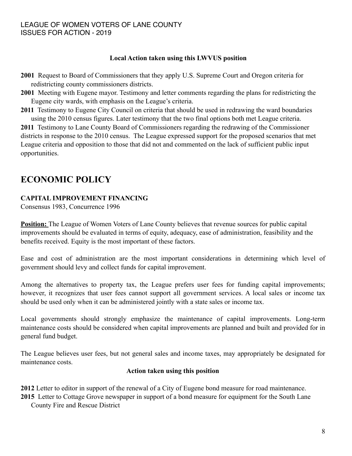#### **Local Action taken using this LWVUS position**

- **2001** Request to Board of Commissioners that they apply U.S. Supreme Court and Oregon criteria for redistricting county commissioners districts.
- **2001** Meeting with Eugene mayor. Testimony and letter comments regarding the plans for redistricting the Eugene city wards, with emphasis on the League's criteria.
- **2011** Testimony to Eugene City Council on criteria that should be used in redrawing the ward boundaries using the 2010 census figures. Later testimony that the two final options both met League criteria.

**2011** Testimony to Lane County Board of Commissioners regarding the redrawing of the Commissioner districts in response to the 2010 census. The League expressed support for the proposed scenarios that met League criteria and opposition to those that did not and commented on the lack of sufficient public input opportunities.

# **ECONOMIC POLICY**

## **CAPITAL IMPROVEMENT FINANCING**

Consensus 1983, Concurrence 1996

**Position:** The League of Women Voters of Lane County believes that revenue sources for public capital improvements should be evaluated in terms of equity, adequacy, ease of administration, feasibility and the benefits received. Equity is the most important of these factors.

Ease and cost of administration are the most important considerations in determining which level of government should levy and collect funds for capital improvement.

Among the alternatives to property tax, the League prefers user fees for funding capital improvements; however, it recognizes that user fees cannot support all government services. A local sales or income tax should be used only when it can be administered jointly with a state sales or income tax.

Local governments should strongly emphasize the maintenance of capital improvements. Long-term maintenance costs should be considered when capital improvements are planned and built and provided for in general fund budget.

The League believes user fees, but not general sales and income taxes, may appropriately be designated for maintenance costs.

#### **Action taken using this position**

- **2012** Letter to editor in support of the renewal of a City of Eugene bond measure for road maintenance.
- **2015** Letter to Cottage Grove newspaper in support of a bond measure for equipment for the South Lane County Fire and Rescue District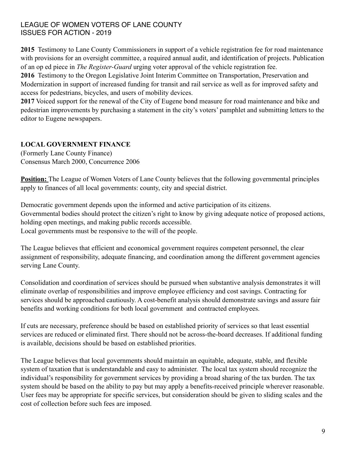**2015** Testimony to Lane County Commissioners in support of a vehicle registration fee for road maintenance with provisions for an oversight committee, a required annual audit, and identification of projects. Publication of an op ed piece in *The Register-Guard* urging voter approval of the vehicle registration fee.

**2016** Testimony to the Oregon Legislative Joint Interim Committee on Transportation, Preservation and Modernization in support of increased funding for transit and rail service as well as for improved safety and access for pedestrians, bicycles, and users of mobility devices.

**2017** Voiced support for the renewal of the City of Eugene bond measure for road maintenance and bike and pedestrian improvements by purchasing a statement in the city's voters' pamphlet and submitting letters to the editor to Eugene newspapers.

# **LOCAL GOVERNMENT FINANCE**

(Formerly Lane County Finance) Consensus March 2000, Concurrence 2006

**Position:** The League of Women Voters of Lane County believes that the following governmental principles apply to finances of all local governments: county, city and special district.

Democratic government depends upon the informed and active participation of its citizens. Governmental bodies should protect the citizen's right to know by giving adequate notice of proposed actions, holding open meetings, and making public records accessible. Local governments must be responsive to the will of the people.

The League believes that efficient and economical government requires competent personnel, the clear assignment of responsibility, adequate financing, and coordination among the different government agencies serving Lane County.

Consolidation and coordination of services should be pursued when substantive analysis demonstrates it will eliminate overlap of responsibilities and improve employee efficiency and cost savings. Contracting for services should be approached cautiously. A cost-benefit analysis should demonstrate savings and assure fair benefits and working conditions for both local government and contracted employees.

If cuts are necessary, preference should be based on established priority of services so that least essential services are reduced or eliminated first. There should not be across-the-board decreases. If additional funding is available, decisions should be based on established priorities.

The League believes that local governments should maintain an equitable, adequate, stable, and flexible system of taxation that is understandable and easy to administer. The local tax system should recognize the individual's responsibility for government services by providing a broad sharing of the tax burden. The tax system should be based on the ability to pay but may apply a benefits-received principle wherever reasonable. User fees may be appropriate for specific services, but consideration should be given to sliding scales and the cost of collection before such fees are imposed.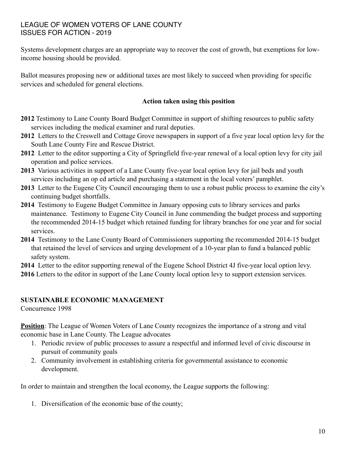Systems development charges are an appropriate way to recover the cost of growth, but exemptions for lowincome housing should be provided.

Ballot measures proposing new or additional taxes are most likely to succeed when providing for specific services and scheduled for general elections.

#### **Action taken using this position**

- **2012** Testimony to Lane County Board Budget Committee in support of shifting resources to public safety services including the medical examiner and rural deputies.
- **2012** Letters to the Creswell and Cottage Grove newspapers in support of a five year local option levy for the South Lane County Fire and Rescue District.
- **2012** Letter to the editor supporting a City of Springfield five-year renewal of a local option levy for city jail operation and police services.
- **2013** Various activities in support of a Lane County five-year local option levy for jail beds and youth services including an op ed article and purchasing a statement in the local voters' pamphlet.
- **2013** Letter to the Eugene City Council encouraging them to use a robust public process to examine the city's continuing budget shortfalls.
- **2014** Testimony to Eugene Budget Committee in January opposing cuts to library services and parks maintenance. Testimony to Eugene City Council in June commending the budget process and supporting the recommended 2014-15 budget which retained funding for library branches for one year and for social services.
- **2014** Testimony to the Lane County Board of Commissioners supporting the recommended 2014-15 budget that retained the level of services and urging development of a 10-year plan to fund a balanced public safety system.
- **2014** Letter to the editor supporting renewal of the Eugene School District 4J five-year local option levy.
- **2016** Letters to the editor in support of the Lane County local option levy to support extension services.

#### **SUSTAINABLE ECONOMIC MANAGEMENT**

Concurrence 1998

**Position**: The League of Women Voters of Lane County recognizes the importance of a strong and vital economic base in Lane County. The League advocates

- 1. Periodic review of public processes to assure a respectful and informed level of civic discourse in pursuit of community goals
- 2. Community involvement in establishing criteria for governmental assistance to economic development.

In order to maintain and strengthen the local economy, the League supports the following:

1. Diversification of the economic base of the county;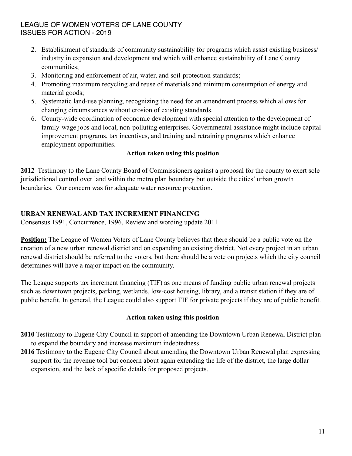- 2. Establishment of standards of community sustainability for programs which assist existing business/ industry in expansion and development and which will enhance sustainability of Lane County communities;
- 3. Monitoring and enforcement of air, water, and soil-protection standards;
- 4. Promoting maximum recycling and reuse of materials and minimum consumption of energy and material goods;
- 5. Systematic land-use planning, recognizing the need for an amendment process which allows for changing circumstances without erosion of existing standards.
- 6. County-wide coordination of economic development with special attention to the development of family-wage jobs and local, non-polluting enterprises. Governmental assistance might include capital improvement programs, tax incentives, and training and retraining programs which enhance employment opportunities.

#### **Action taken using this position**

**2012** Testimony to the Lane County Board of Commissioners against a proposal for the county to exert sole jurisdictional control over land within the metro plan boundary but outside the cities' urban growth boundaries. Our concern was for adequate water resource protection.

#### **URBAN RENEWAL AND TAX INCREMENT FINANCING**

Consensus 1991, Concurrence, 1996, Review and wording update 2011

**Position:** The League of Women Voters of Lane County believes that there should be a public vote on the creation of a new urban renewal district and on expanding an existing district. Not every project in an urban renewal district should be referred to the voters, but there should be a vote on projects which the city council determines will have a major impact on the community.

The League supports tax increment financing (TIF) as one means of funding public urban renewal projects such as downtown projects, parking, wetlands, low-cost housing, library, and a transit station if they are of public benefit. In general, the League could also support TIF for private projects if they are of public benefit.

#### **Action taken using this position**

- **2010** Testimony to Eugene City Council in support of amending the Downtown Urban Renewal District plan to expand the boundary and increase maximum indebtedness.
- **2016** Testimony to the Eugene City Council about amending the Downtown Urban Renewal plan expressing support for the revenue tool but concern about again extending the life of the district, the large dollar expansion, and the lack of specific details for proposed projects.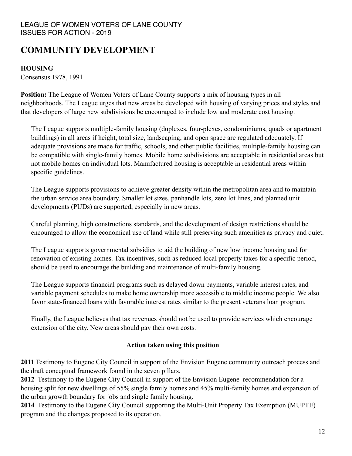# **COMMUNITY DEVELOPMENT**

#### **HOUSING**

Consensus 1978, 1991

**Position:** The League of Women Voters of Lane County supports a mix of housing types in all neighborhoods. The League urges that new areas be developed with housing of varying prices and styles and that developers of large new subdivisions be encouraged to include low and moderate cost housing.

The League supports multiple-family housing (duplexes, four-plexes, condominiums, quads or apartment buildings) in all areas if height, total size, landscaping, and open space are regulated adequately. If adequate provisions are made for traffic, schools, and other public facilities, multiple-family housing can be compatible with single-family homes. Mobile home subdivisions are acceptable in residential areas but not mobile homes on individual lots. Manufactured housing is acceptable in residential areas within specific guidelines.

The League supports provisions to achieve greater density within the metropolitan area and to maintain the urban service area boundary. Smaller lot sizes, panhandle lots, zero lot lines, and planned unit developments (PUDs) are supported, especially in new areas.

Careful planning, high constructions standards, and the development of design restrictions should be encouraged to allow the economical use of land while still preserving such amenities as privacy and quiet.

The League supports governmental subsidies to aid the building of new low income housing and for renovation of existing homes. Tax incentives, such as reduced local property taxes for a specific period, should be used to encourage the building and maintenance of multi-family housing.

The League supports financial programs such as delayed down payments, variable interest rates, and variable payment schedules to make home ownership more accessible to middle income people. We also favor state-financed loans with favorable interest rates similar to the present veterans loan program.

Finally, the League believes that tax revenues should not be used to provide services which encourage extension of the city. New areas should pay their own costs.

#### **Action taken using this position**

**2011** Testimony to Eugene City Council in support of the Envision Eugene community outreach process and the draft conceptual framework found in the seven pillars.

**2012** Testimony to the Eugene City Council in support of the Envision Eugene recommendation for a housing split for new dwellings of 55% single family homes and 45% multi-family homes and expansion of the urban growth boundary for jobs and single family housing.

**2014** Testimony to the Eugene City Council supporting the Multi-Unit Property Tax Exemption (MUPTE) program and the changes proposed to its operation.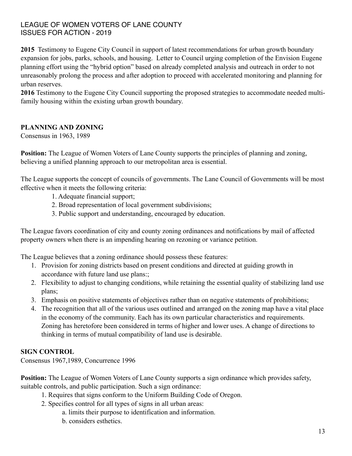**2015** Testimony to Eugene City Council in support of latest recommendations for urban growth boundary expansion for jobs, parks, schools, and housing. Letter to Council urging completion of the Envision Eugene planning effort using the "hybrid option" based on already completed analysis and outreach in order to not unreasonably prolong the process and after adoption to proceed with accelerated monitoring and planning for urban reserves.

**2016** Testimony to the Eugene City Council supporting the proposed strategies to accommodate needed multifamily housing within the existing urban growth boundary.

#### **PLANNING AND ZONING**

Consensus in 1963, 1989

**Position:** The League of Women Voters of Lane County supports the principles of planning and zoning, believing a unified planning approach to our metropolitan area is essential.

The League supports the concept of councils of governments. The Lane Council of Governments will be most effective when it meets the following criteria:

- 1. Adequate financial support;
- 2. Broad representation of local government subdivisions;
- 3. Public support and understanding, encouraged by education.

The League favors coordination of city and county zoning ordinances and notifications by mail of affected property owners when there is an impending hearing on rezoning or variance petition.

The League believes that a zoning ordinance should possess these features:

- 1. Provision for zoning districts based on present conditions and directed at guiding growth in accordance with future land use plans:;
- 2. Flexibility to adjust to changing conditions, while retaining the essential quality of stabilizing land use plans;
- 3. Emphasis on positive statements of objectives rather than on negative statements of prohibitions;
- 4. The recognition that all of the various uses outlined and arranged on the zoning map have a vital place in the economy of the community. Each has its own particular characteristics and requirements. Zoning has heretofore been considered in terms of higher and lower uses. A change of directions to thinking in terms of mutual compatibility of land use is desirable.

#### **SIGN CONTROL**

Consensus 1967,1989, Concurrence 1996

**Position:** The League of Women Voters of Lane County supports a sign ordinance which provides safety, suitable controls, and public participation. Such a sign ordinance:

- 1. Requires that signs conform to the Uniform Building Code of Oregon.
- 2. Specifies control for all types of signs in all urban areas:
	- a. limits their purpose to identification and information.
	- b. considers esthetics.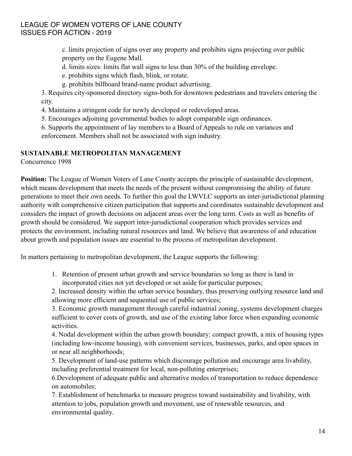c. limits projection of signs over any property and prohibits signs projecting over public property on the Eugene Mall.

d. limits sizes: limits flat wall signs to less than 30% of the building envelope.

e. prohibits signs which flash, blink, or rotate.

g. prohibits billboard brand-name product advertising.

3. Requires city-sponsored directory signs-both for downtown pedestrians and travelers entering the city.

4. Maintains a stringent code for newly developed or redeveloped areas.

5. Encourages adjoining governmental bodies to adopt comparable sign ordinances.

6. Supports the appointment of lay members to a Board of Appeals to rule on variances and enforcement. Members shall not be associated with sign industry.

#### **SUSTAINABLE METROPOLITAN MANAGEMENT**

Concurrence 1998

**Position:** The League of Women Voters of Lane County accepts the principle of sustainable development, which means development that meets the needs of the present without compromising the ability of future generations to meet their own needs. To further this goal the LWVLC supports an inter-jurisdictional planning authority with comprehensive citizen participation that supports and coordinates sustainable development and considers the impact of growth decisions on adjacent areas over the long term. Costs as well as benefits of growth should be considered. We support inter-jurisdictional cooperation which provides services and protects the environment, including natural resources and land. We believe that awareness of and education about growth and population issues are essential to the process of metropolitan development.

In matters pertaining to metropolitan development, the League supports the following:

1. Retention of present urban growth and service boundaries so long as there is land in incorporated cities not yet developed or set aside for particular purposes;

2. Increased density within the urban service boundary, thus preserving outlying resource land and allowing more efficient and sequential use of public services;

3. Economic growth management through careful industrial zoning, systems development charges sufficient to cover costs of growth, and use of the existing labor force when expanding economic activities.

4. Nodal development within the urban growth boundary: compact growth, a mix of housing types (including low-income housing), with convenient services, businesses, parks, and open spaces in or near all neighborhoods;

5. Development of land-use patterns which discourage pollution and encourage area livability, including preferential treatment for local, non-polluting enterprises;

6.Development of adequate public and alternative modes of transportation to reduce dependence on automobiles;

7. Establishment of benchmarks to measure progress toward sustainability and livability, with attention to jobs, population growth and movement, use of renewable resources, and environmental quality.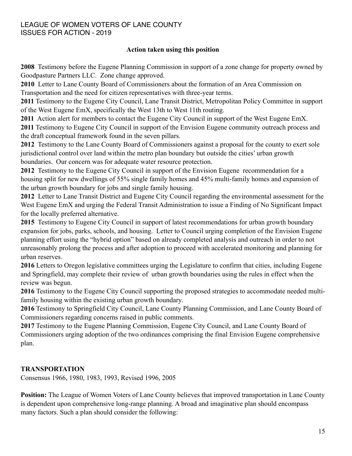#### **Action taken using this position**

**2008** Testimony before the Eugene Planning Commission in support of a zone change for property owned by Goodpasture Partners LLC. Zone change approved.

**2010** Letter to Lane County Board of Commissioners about the formation of an Area Commission on Transportation and the need for citizen representatives with three-year terms.

**2011** Testimony to the Eugene City Council, Lane Transit District, Metropolitan Policy Committee in support of the West Eugene EmX, specifically the West 13th to West 11th routing.

**2011** Action alert for members to contact the Eugene City Council in support of the West Eugene EmX. **2011** Testimony to Eugene City Council in support of the Envision Eugene community outreach process and the draft conceptual framework found in the seven pillars.

**2012** Testimony to the Lane County Board of Commissioners against a proposal for the county to exert sole jurisdictional control over land within the metro plan boundary but outside the cities' urban growth boundaries. Our concern was for adequate water resource protection.

**2012** Testimony to the Eugene City Council in support of the Envision Eugene recommendation for a housing split for new dwellings of 55% single family homes and 45% multi-family homes and expansion of the urban growth boundary for jobs and single family housing.

**2012** Letter to Lane Transit District and Eugene City Council regarding the environmental assessment for the West Eugene EmX and urging the Federal Transit Administration to issue a Finding of No Significant Impact for the locally preferred alternative.

**2015** Testimony to Eugene City Council in support of latest recommendations for urban growth boundary expansion for jobs, parks, schools, and housing. Letter to Council urging completion of the Envision Eugene planning effort using the "hybrid option" based on already completed analysis and outreach in order to not unreasonably prolong the process and after adoption to proceed with accelerated monitoring and planning for urban reserves.

**2016** Letters to Oregon legislative committees urging the Legislature to confirm that cities, including Eugene and Springfield, may complete their review of urban growth boundaries using the rules in effect when the review was begun.

**2016** Testimony to the Eugene City Council supporting the proposed strategies to accommodate needed multifamily housing within the existing urban growth boundary.

**2016** Testimony to Springfield City Council, Lane County Planning Commission, and Lane County Board of Commissioners regarding concerns raised in public comments.

**2017** Testimony to the Eugene Planning Commission, Eugene City Council, and Lane County Board of Commissioners urging adoption of the two ordinances comprising the final Envision Eugene comprehensive plan.

#### **TRANSPORTATION**

Consensus 1966, 1980, 1983, 1993, Revised 1996, 2005

**Position:** The League of Women Voters of Lane County believes that improved transportation in Lane County is dependent upon comprehensive long-range planning. A broad and imaginative plan should encompass many factors. Such a plan should consider the following: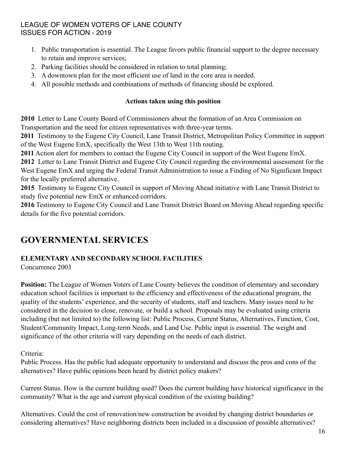- 1. Public transportation is essential. The League favors public financial support to the degree necessary to retain and improve services;
- 2. Parking facilities should be considered in relation to total planning;
- 3. A downtown plan for the most efficient use of land in the core area is needed.
- 4. All possible methods and combinations of methods of financing should be explored.

#### **Actions taken using this position**

**2010** Letter to Lane County Board of Commissioners about the formation of an Area Commission on Transportation and the need for citizen representatives with three-year terms.

**2011** Testimony to the Eugene City Council, Lane Transit District, Metropolitan Policy Committee in support of the West Eugene EmX, specifically the West 13th to West 11th routing.

**2011** Action alert for members to contact the Eugene City Council in support of the West Eugene EmX.

**2012** Letter to Lane Transit District and Eugene City Council regarding the environmental assessment for the West Eugene EmX and urging the Federal Transit Administration to issue a Finding of No Significant Impact for the locally preferred alternative.

**2015** Testimony to Eugene City Council in support of Moving Ahead initiative with Lane Transit District to study five potential new EmX or enhanced corridors.

**2016** Testimony to Eugene City Council and Lane Transit District Board on Moving Ahead regarding specific details for the five potential corridors.

# **GOVERNMENTAL SERVICES**

## **ELEMENTARY AND SECONDARY SCHOOL FACILITIES**

Concurrence 2003

**Position:** The League of Women Voters of Lane County believes the condition of elementary and secondary education school facilities is important to the efficiency and effectiveness of the educational program, the quality of the students' experience, and the security of students, staff and teachers. Many issues need to be considered in the decision to close, renovate, or build a school. Proposals may be evaluated using criteria including (but not limited to) the following list: Public Process, Current Status, Alternatives, Function, Cost, Student/Community Impact, Long-term Needs, and Land Use. Public input is essential. The weight and significance of the other criteria will vary depending on the needs of each district.

Criteria:

Public Process. Has the public had adequate opportunity to understand and discuss the pros and cons of the alternatives? Have public opinions been heard by district policy makers?

Current Status. How is the current building used? Does the current building have historical significance in the community? What is the age and current physical condition of the existing building?

Alternatives. Could the cost of renovation/new construction be avoided by changing district boundaries or considering alternatives? Have neighboring districts been included in a discussion of possible alternatives?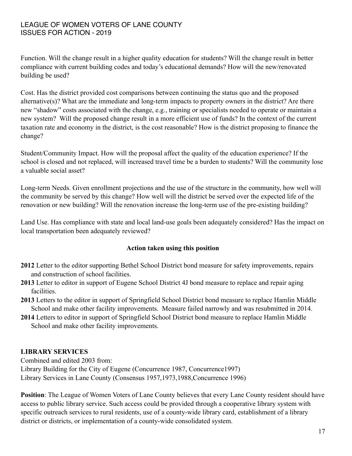Function. Will the change result in a higher quality education for students? Will the change result in better compliance with current building codes and today's educational demands? How will the new/renovated building be used?

Cost. Has the district provided cost comparisons between continuing the status quo and the proposed alternative(s)? What are the immediate and long-term impacts to property owners in the district? Are there new "shadow" costs associated with the change, e.g., training or specialists needed to operate or maintain a new system? Will the proposed change result in a more efficient use of funds? In the context of the current taxation rate and economy in the district, is the cost reasonable? How is the district proposing to finance the change?

Student/Community Impact. How will the proposal affect the quality of the education experience? If the school is closed and not replaced, will increased travel time be a burden to students? Will the community lose a valuable social asset?

Long-term Needs. Given enrollment projections and the use of the structure in the community, how well will the community be served by this change? How well will the district be served over the expected life of the renovation or new building? Will the renovation increase the long-term use of the pre-existing building?

Land Use. Has compliance with state and local land-use goals been adequately considered? Has the impact on local transportation been adequately reviewed?

#### **Action taken using this position**

- **2012** Letter to the editor supporting Bethel School District bond measure for safety improvements, repairs and construction of school facilities.
- **2013** Letter to editor in support of Eugene School District 4J bond measure to replace and repair aging facilities.
- **2013** Letters to the editor in support of Springfield School District bond measure to replace Hamlin Middle School and make other facility improvements. Measure failed narrowly and was resubmitted in 2014.
- **2014** Letters to editor in support of Springfield School District bond measure to replace Hamlin Middle School and make other facility improvements.

#### **LIBRARY SERVICES**

Combined and edited 2003 from: Library Building for the City of Eugene (Concurrence 1987, Concurrence1997) Library Services in Lane County (Consensus 1957,1973,1988,Concurrence 1996)

**Position**: The League of Women Voters of Lane County believes that every Lane County resident should have access to public library service. Such access could be provided through a cooperative library system with specific outreach services to rural residents, use of a county-wide library card, establishment of a library district or districts, or implementation of a county-wide consolidated system.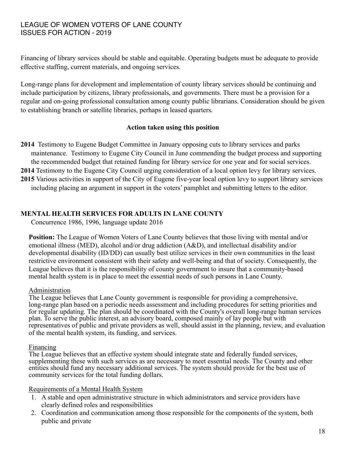Financing of library services should be stable and equitable. Operating budgets must be adequate to provide effective staffing, current materials, and ongoing services.

Long-range plans for development and implementation of county library services should be continuing and include participation by citizens, library professionals, and governments. There must be a provision for a regular and on-going professional consultation among county public librarians. Consideration should be given to establishing branch or satellite libraries, perhaps in leased quarters.

#### **Action taken using this position**

- **2014** Testimony to Eugene Budget Committee in January opposing cuts to library services and parks maintenance. Testimony to Eugene City Council in June commending the budget process and supporting the recommended budget that retained funding for library service for one year and for social services. **2014** Testimony to the Eugene City Council urging consideration of a local option levy for library services.
- **2015** Various activities in support of the City of Eugene five-year local option levy to support library services including placing an argument in support in the voters' pamphlet and submitting letters to the editor.

#### **MENTAL HEALTH SERVICES FOR ADULTS IN LANE COUNTY**

Concurrence 1986, 1996, language update 2016

**Position:** The League of Women Voters of Lane County believes that those living with mental and/or emotional illness (MED), alcohol and/or drug addiction (A&D), and intellectual disability and/or developmental disability (ID/DD) can usually best utilize services in their own communities in the least restrictive environment consistent with their safety and well-being and that of society. Consequently, the League believes that it is the responsibility of county government to insure that a community-based mental health system is in place to meet the essential needs of such persons in Lane County.

#### Administration

The League believes that Lane County government is responsible for providing a comprehensive, long-range plan based on a periodic needs assessment and including procedures for setting priorities and for regular updating. The plan should be coordinated with the County's overall long-range human services plan. To serve the public interest, an advisory board, composed mainly of lay people but with representatives of public and private providers as well, should assist in the planning, review, and evaluation of the mental health system, its funding, and services.

#### Financing

The League believes that an effective system should integrate state and federally funded services, supplementing these with such services as are necessary to meet essential needs. The County and other entities should fund any necessary additional services. The system should provide for the best use of community services for the total funding dollars.

#### Requirements of a Mental Health System

- 1. A stable and open administrative structure in which administrators and service providers have clearly defined roles and responsibilities
- 2. Coordination and communication among those responsible for the components of the system, both public and private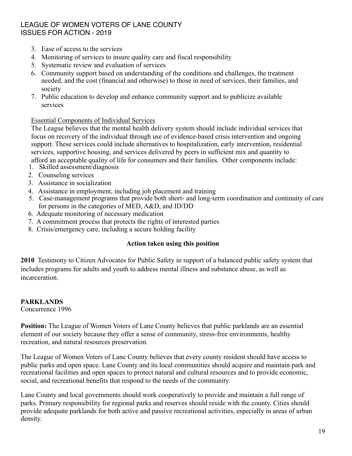- 3. Ease of access to the services
- 4. Monitoring of services to insure quality care and fiscal responsibility
- 5. Systematic review and evaluation of services
- 6. Community support based on understanding of the conditions and challenges, the treatment needed, and the cost (financial and otherwise) to those in need of services, their families, and society
- 7. Public education to develop and enhance community support and to publicize available services

#### Essential Components of Individual Services

The League believes that the mental health delivery system should include individual services that focus on recovery of the individual through use of evidence-based crisis intervention and ongoing support. These services could include alternatives to hospitalization, early intervention, residential services, supportive housing, and services delivered by peers in sufficient mix and quantity to afford an acceptable quality of life for consumers and their families. Other components include:

- 1. Skilled assessment/diagnosis
- 2. Counseling services
- 3. Assistance in socialization
- 4. Assistance in employment, including job placement and training
- 5. Case-management programs that provide both short- and long-term coordination and continuity of care for persons in the categories of MED, A&D, and ID/DD
- 6. Adequate monitoring of necessary medication
- 7. A commitment process that protects the rights of interested parties
- 8. Crisis/emergency care, including a secure holding facility

#### **Action taken using this position**

**2010** Testimony to Citizen Advocates for Public Safety in support of a balanced public safety system that includes programs for adults and youth to address mental illness and substance abuse, as well as incarceration.

#### **PARKLANDS**

Concurrence 1996

**Position:** The League of Women Voters of Lane County believes that public parklands are an essential element of our society because they offer a sense of community, stress-free environments, healthy recreation, and natural resources preservation.

The League of Women Voters of Lane County believes that every county resident should have access to public parks and open space. Lane County and its local communities should acquire and maintain park and recreational facilities and open spaces to protect natural and cultural resources and to provide economic, social, and recreational benefits that respond to the needs of the community.

Lane County and local governments should work cooperatively to provide and maintain a full range of parks. Primary responsibility for regional parks and reserves should reside with the county. Cities should provide adequate parklands for both active and passive recreational activities, especially in areas of urban density.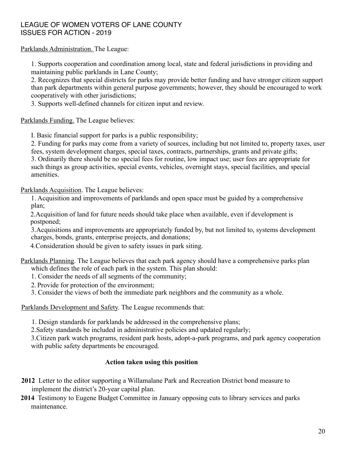Parklands Administration. The League:

1. Supports cooperation and coordination among local, state and federal jurisdictions in providing and maintaining public parklands in Lane County;

2. Recognizes that special districts for parks may provide better funding and have stronger citizen support than park departments within general purpose governments; however, they should be encouraged to work cooperatively with other jurisdictions;

3. Supports well-defined channels for citizen input and review.

Parklands Funding. The League believes:

I. Basic financial support for parks is a public responsibility;

2. Funding for parks may come from a variety of sources, including but not limited to, property taxes, user fees, system development charges, special taxes, contracts, partnerships, grants and private gifts; 3. Ordinarily there should be no special fees for routine, low impact use; user fees are appropriate for such things as group activities, special events, vehicles, overnight stays, special facilities, and special amenities.

Parklands Acquisition. The League believes:

1. Acquisition and improvements of parklands and open space must be guided by a comprehensive plan;

2.Acquisition of land for future needs should take place when available, even if development is postponed;

3.Acquisitions and improvements are appropriately funded by, but not limited to, systems development charges, bonds, grants, enterprise projects, and donations;

4.Consideration should be given to safety issues in park siting.

Parklands Planning. The League believes that each park agency should have a comprehensive parks plan which defines the role of each park in the system. This plan should:

- 1. Consider the needs of all segments of the community;
- 2. Provide for protection of the environment;
- 3. Consider the views of both the immediate park neighbors and the community as a whole.

Parklands Development and Safety. The League recommends that:

1. Design standards for parklands be addressed in the comprehensive plans;

2.Safety standards be included in administrative policies and updated regularly;

3.Citizen park watch programs, resident park hosts, adopt-a-park programs, and park agency cooperation with public safety departments be encouraged.

#### **Action taken using this position**

- **2012** Letter to the editor supporting a Willamalane Park and Recreation District bond measure to implement the district's 20-year capital plan.
- **2014** Testimony to Eugene Budget Committee in January opposing cuts to library services and parks maintenance.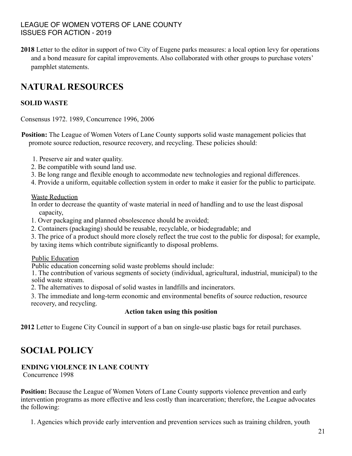**2018** Letter to the editor in support of two City of Eugene parks measures: a local option levy for operations and a bond measure for capital improvements. Also collaborated with other groups to purchase voters' pamphlet statements.

# **NATURAL RESOURCES**

## **SOLID WASTE**

Consensus 1972. 1989, Concurrence 1996, 2006

**Position:** The League of Women Voters of Lane County supports solid waste management policies that promote source reduction, resource recovery, and recycling. These policies should:

- 1. Preserve air and water quality.
- 2. Be compatible with sound land use.
- 3. Be long range and flexible enough to accommodate new technologies and regional differences.
- 4. Provide a uniform, equitable collection system in order to make it easier for the public to participate.

Waste Reduction

In order to decrease the quantity of waste material in need of handling and to use the least disposal capacity,

- 1. Over packaging and planned obsolescence should be avoided;
- 2. Containers (packaging) should be reusable, recyclable, or biodegradable; and
- 3. The price of a product should more closely reflect the true cost to the public for disposal; for example,

by taxing items which contribute significantly to disposal problems.

Public Education

Public education concerning solid waste problems should include:

1. The contribution of various segments of society (individual, agricultural, industrial, municipal) to the solid waste stream.

2. The alternatives to disposal of solid wastes in landfills and incinerators.

3. The immediate and long-term economic and environmental benefits of source reduction, resource recovery, and recycling.

#### **Action taken using this position**

**2012** Letter to Eugene City Council in support of a ban on single-use plastic bags for retail purchases.

# **SOCIAL POLICY**

#### **ENDING VIOLENCE IN LANE COUNTY**

Concurrence 1998

**Position:** Because the League of Women Voters of Lane County supports violence prevention and early intervention programs as more effective and less costly than incarceration; therefore, the League advocates the following:

1. Agencies which provide early intervention and prevention services such as training children, youth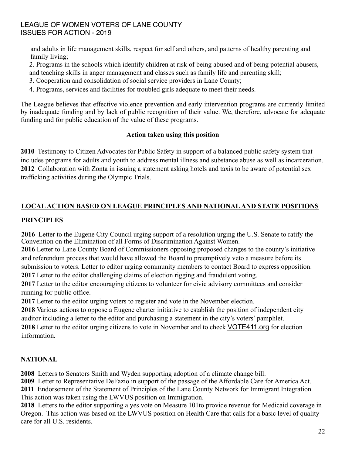and adults in life management skills, respect for self and others, and patterns of healthy parenting and family living;

2. Programs in the schools which identify children at risk of being abused and of being potential abusers, and teaching skills in anger management and classes such as family life and parenting skill;

- 3. Cooperation and consolidation of social service providers in Lane County;
- 4. Programs, services and facilities for troubled girls adequate to meet their needs.

The League believes that effective violence prevention and early intervention programs are currently limited by inadequate funding and by lack of public recognition of their value. We, therefore, advocate for adequate funding and for public education of the value of these programs.

#### **Action taken using this position**

**2010** Testimony to Citizen Advocates for Public Safety in support of a balanced public safety system that includes programs for adults and youth to address mental illness and substance abuse as well as incarceration. **2012** Collaboration with Zonta in issuing a statement asking hotels and taxis to be aware of potential sex trafficking activities during the Olympic Trials.

# **LOCAL ACTION BASED ON LEAGUE PRINCIPLES AND NATIONAL AND STATE POSITIONS**

#### **PRINCIPLES**

**2016** Letter to the Eugene City Council urging support of a resolution urging the U.S. Senate to ratify the Convention on the Elimination of all Forms of Discrimination Against Women.

**2016** Letter to Lane County Board of Commissioners opposing proposed changes to the county's initiative and referendum process that would have allowed the Board to preemptively veto a measure before its submission to voters. Letter to editor urging community members to contact Board to express opposition. **2017** Letter to the editor challenging claims of election rigging and fraudulent voting.

**2017** Letter to the editor encouraging citizens to volunteer for civic advisory committees and consider running for public office.

**2017** Letter to the editor urging voters to register and vote in the November election.

**2018** Various actions to oppose a Eugene charter initiative to establish the position of independent city auditor including a letter to the editor and purchasing a statement in the city's voters' pamphlet.

**2018** Letter to the editor urging citizens to vote in November and to check VOTE411.org for election information.

#### **NATIONAL**

**2008** Letters to Senators Smith and Wyden supporting adoption of a climate change bill.

**2009** Letter to Representative DeFazio in support of the passage of the Affordable Care for America Act.

**2011** Endorsement of the Statement of Principles of the Lane County Network for Immigrant Integration. This action was taken using the LWVUS position on Immigration.

**2018** Letters to the editor supporting a yes vote on Measure 101to provide revenue for Medicaid coverage in Oregon. This action was based on the LWVUS position on Health Care that calls for a basic level of quality care for all U.S. residents.